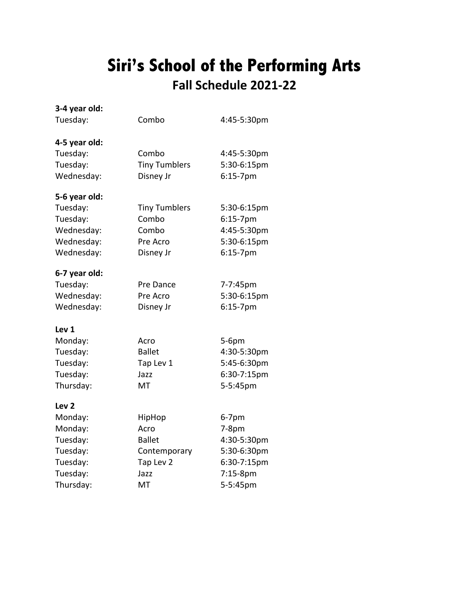# **Siri's School of the Performing Arts Fall Schedule 2021-22**

| 3-4 year old:    |                      |             |
|------------------|----------------------|-------------|
| Tuesday:         | Combo                | 4:45-5:30pm |
| 4-5 year old:    |                      |             |
| Tuesday:         | Combo                | 4:45-5:30pm |
| Tuesday:         | <b>Tiny Tumblers</b> | 5:30-6:15pm |
| Wednesday:       | Disney Jr            | 6:15-7pm    |
| 5-6 year old:    |                      |             |
| Tuesday:         | <b>Tiny Tumblers</b> | 5:30-6:15pm |
| Tuesday:         | Combo                | 6:15-7pm    |
| Wednesday:       | Combo                | 4:45-5:30pm |
| Wednesday:       | Pre Acro             | 5:30-6:15pm |
| Wednesday:       | Disney Jr            | $6:15-7$ pm |
| 6-7 year old:    |                      |             |
| Tuesday:         | Pre Dance            | 7-7:45pm    |
| Wednesday:       | Pre Acro             | 5:30-6:15pm |
| Wednesday:       | Disney Jr            | $6:15-7$ pm |
| Lev <sub>1</sub> |                      |             |
| Monday:          | Acro                 | 5-6pm       |
| Tuesday:         | <b>Ballet</b>        | 4:30-5:30pm |
| Tuesday:         | Tap Lev 1            | 5:45-6:30pm |
| Tuesday:         | Jazz                 | 6:30-7:15pm |
| Thursday:        | <b>MT</b>            | 5-5:45pm    |
| Lev <sub>2</sub> |                      |             |
| Monday:          | HipHop               | $6-7$ pm    |
| Monday:          | Acro                 | $7-8pm$     |
| Tuesday:         | <b>Ballet</b>        | 4:30-5:30pm |
| Tuesday:         | Contemporary         | 5:30-6:30pm |
| Tuesday:         | Tap Lev 2            | 6:30-7:15pm |
| Tuesday:         | Jazz                 | 7:15-8pm    |
| Thursday:        | MT                   | 5-5:45pm    |